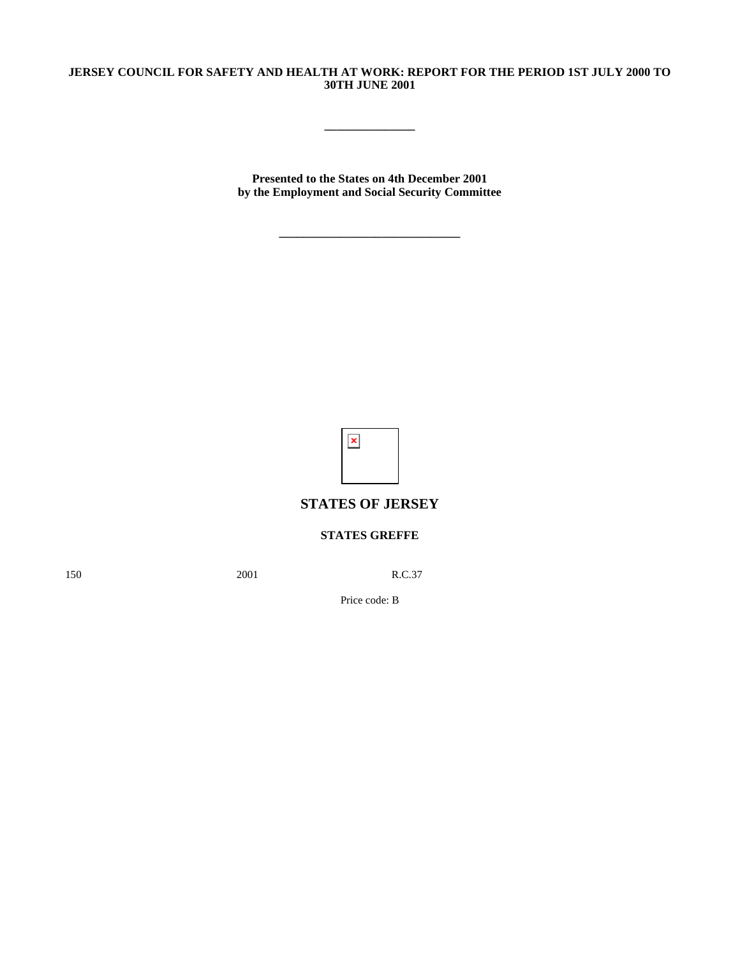## **JERSEY COUNCIL FOR SAFETY AND HEALTH AT WORK: REPORT FOR THE PERIOD 1ST JULY 2000 TO 30TH JUNE 2001**

**\_\_\_\_\_\_\_\_\_\_\_\_\_\_\_**

**Presented to the States on 4th December 2001 by the Employment and Social Security Committee**

**\_\_\_\_\_\_\_\_\_\_\_\_\_\_\_\_\_\_\_\_\_\_\_\_\_\_\_\_\_\_**

 $\pmb{\times}$ 

# **STATES OF JERSEY**

## **STATES GREFFE**

150 2001 R.C.37

Price code: B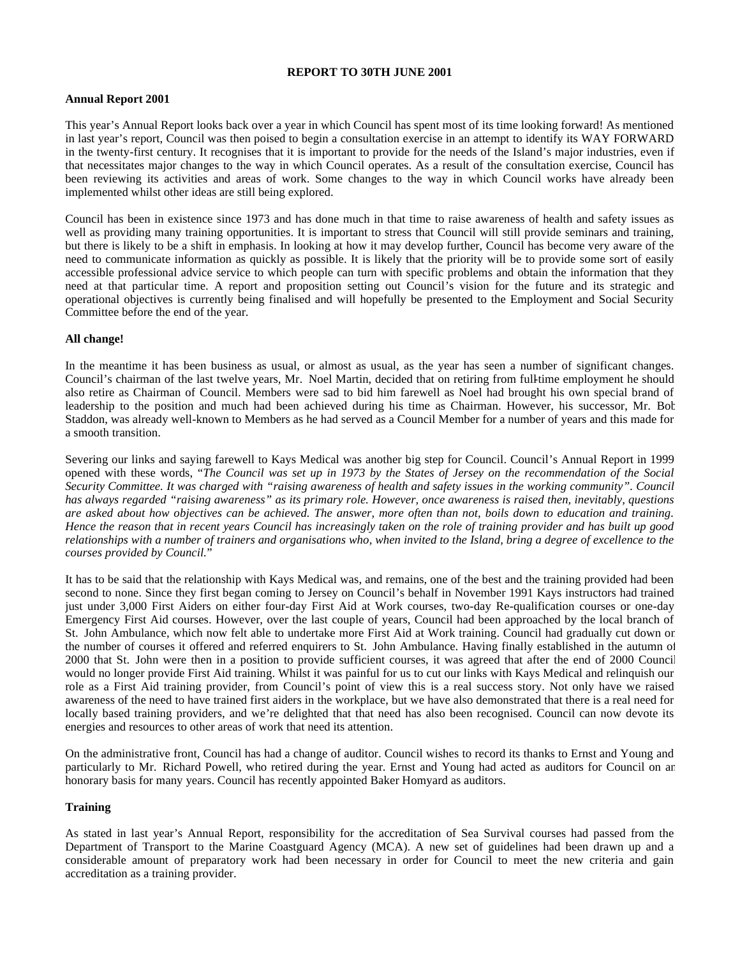## **REPORT TO 30TH JUNE 2001**

## **Annual Report 2001**

This year's Annual Report looks back over a year in which Council has spent most of its time looking forward! As mentioned in last year's report, Council was then poised to begin a consultation exercise in an attempt to identify its WAY FORWARD in the twenty-first century. It recognises that it is important to provide for the needs of the Island's major industries, even if that necessitates major changes to the way in which Council operates. As a result of the consultation exercise, Council has been reviewing its activities and areas of work. Some changes to the way in which Council works have already been implemented whilst other ideas are still being explored.

Council has been in existence since 1973 and has done much in that time to raise awareness of health and safety issues as well as providing many training opportunities. It is important to stress that Council will still provide seminars and training, but there is likely to be a shift in emphasis. In looking at how it may develop further, Council has become very aware of the need to communicate information as quickly as possible. It is likely that the priority will be to provide some sort of easily accessible professional advice service to which people can turn with specific problems and obtain the information that they need at that particular time. A report and proposition setting out Council's vision for the future and its strategic and operational objectives is currently being finalised and will hopefully be presented to the Employment and Social Security Committee before the end of the year.

## **All change!**

In the meantime it has been business as usual, or almost as usual, as the year has seen a number of significant changes. Council's chairman of the last twelve years, Mr. Noel Martin, decided that on retiring from full-time employment he should also retire as Chairman of Council. Members were sad to bid him farewell as Noel had brought his own special brand of leadership to the position and much had been achieved during his time as Chairman. However, his successor, Mr. Bob Staddon, was already well-known to Members as he had served as a Council Member for a number of years and this made for a smooth transition.

Severing our links and saying farewell to Kays Medical was another big step for Council. Council's Annual Report in 1999 opened with these words, "*The Council was set up in 1973 by the States of Jersey on the recommendation of the Social Security Committee. It was charged with "raising awareness of health and safety issues in the working community". Council has always regarded "raising awareness" as its primary role. However, once awareness is raised then, inevitably, questions are asked about how objectives can be achieved. The answer, more often than not, boils down to education and training. Hence the reason that in recent years Council has increasingly taken on the role of training provider and has built up good relationships with a number of trainers and organisations who, when invited to the Island, bring a degree of excellence to the courses provided by Council.*"

It has to be said that the relationship with Kays Medical was, and remains, one of the best and the training provided had been second to none. Since they first began coming to Jersey on Council's behalf in November 1991 Kays instructors had trained just under 3,000 First Aiders on either four-day First Aid at Work courses, two-day Re-qualification courses or one-day Emergency First Aid courses. However, over the last couple of years, Council had been approached by the local branch of St. John Ambulance, which now felt able to undertake more First Aid at Work training. Council had gradually cut down on the number of courses it offered and referred enquirers to St. John Ambulance. Having finally established in the autumn of 2000 that St. John were then in a position to provide sufficient courses, it was agreed that after the end of 2000 Council would no longer provide First Aid training. Whilst it was painful for us to cut our links with Kays Medical and relinquish our role as a First Aid training provider, from Council's point of view this is a real success story. Not only have we raised awareness of the need to have trained first aiders in the workplace, but we have also demonstrated that there is a real need for locally based training providers, and we're delighted that that need has also been recognised. Council can now devote its energies and resources to other areas of work that need its attention.

On the administrative front, Council has had a change of auditor. Council wishes to record its thanks to Ernst and Young and particularly to Mr. Richard Powell, who retired during the year. Ernst and Young had acted as auditors for Council on an honorary basis for many years. Council has recently appointed Baker Homyard as auditors.

## **Training**

As stated in last year's Annual Report, responsibility for the accreditation of Sea Survival courses had passed from the Department of Transport to the Marine Coastguard Agency (MCA). A new set of guidelines had been drawn up and a considerable amount of preparatory work had been necessary in order for Council to meet the new criteria and gain accreditation as a training provider.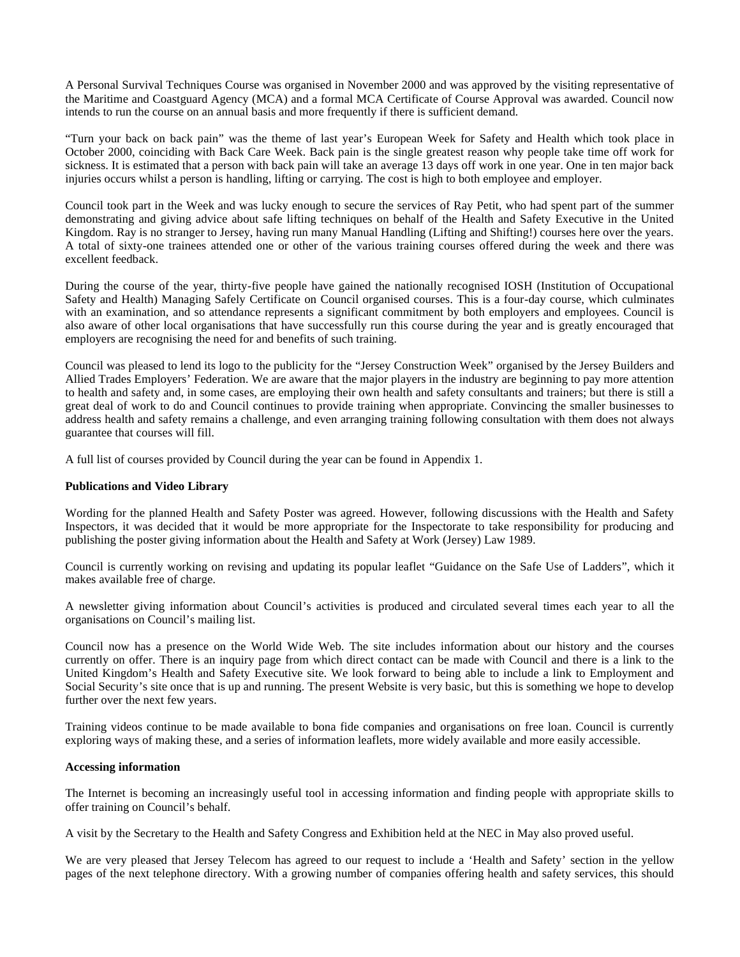A Personal Survival Techniques Course was organised in November 2000 and was approved by the visiting representative of the Maritime and Coastguard Agency (MCA) and a formal MCA Certificate of Course Approval was awarded. Council now intends to run the course on an annual basis and more frequently if there is sufficient demand.

"Turn your back on back pain" was the theme of last year's European Week for Safety and Health which took place in October 2000, coinciding with Back Care Week. Back pain is the single greatest reason why people take time off work for sickness. It is estimated that a person with back pain will take an average 13 days off work in one year. One in ten major back injuries occurs whilst a person is handling, lifting or carrying. The cost is high to both employee and employer.

Council took part in the Week and was lucky enough to secure the services of Ray Petit, who had spent part of the summer demonstrating and giving advice about safe lifting techniques on behalf of the Health and Safety Executive in the United Kingdom. Ray is no stranger to Jersey, having run many Manual Handling (Lifting and Shifting!) courses here over the years. A total of sixty-one trainees attended one or other of the various training courses offered during the week and there was excellent feedback.

During the course of the year, thirty-five people have gained the nationally recognised IOSH (Institution of Occupational Safety and Health) Managing Safely Certificate on Council organised courses. This is a four-day course, which culminates with an examination, and so attendance represents a significant commitment by both employers and employees. Council is also aware of other local organisations that have successfully run this course during the year and is greatly encouraged that employers are recognising the need for and benefits of such training.

Council was pleased to lend its logo to the publicity for the "Jersey Construction Week" organised by the Jersey Builders and Allied Trades Employers' Federation. We are aware that the major players in the industry are beginning to pay more attention to health and safety and, in some cases, are employing their own health and safety consultants and trainers; but there is still a great deal of work to do and Council continues to provide training when appropriate. Convincing the smaller businesses to address health and safety remains a challenge, and even arranging training following consultation with them does not always guarantee that courses will fill.

A full list of courses provided by Council during the year can be found in Appendix 1.

## **Publications and Video Library**

Wording for the planned Health and Safety Poster was agreed. However, following discussions with the Health and Safety Inspectors, it was decided that it would be more appropriate for the Inspectorate to take responsibility for producing and publishing the poster giving information about the Health and Safety at Work (Jersey) Law 1989.

Council is currently working on revising and updating its popular leaflet "Guidance on the Safe Use of Ladders", which it makes available free of charge.

A newsletter giving information about Council's activities is produced and circulated several times each year to all the organisations on Council's mailing list.

Council now has a presence on the World Wide Web. The site includes information about our history and the courses currently on offer. There is an inquiry page from which direct contact can be made with Council and there is a link to the United Kingdom's Health and Safety Executive site. We look forward to being able to include a link to Employment and Social Security's site once that is up and running. The present Website is very basic, but this is something we hope to develop further over the next few years.

Training videos continue to be made available to bona fide companies and organisations on free loan. Council is currently exploring ways of making these, and a series of information leaflets, more widely available and more easily accessible.

## **Accessing information**

The Internet is becoming an increasingly useful tool in accessing information and finding people with appropriate skills to offer training on Council's behalf.

A visit by the Secretary to the Health and Safety Congress and Exhibition held at the NEC in May also proved useful.

We are very pleased that Jersey Telecom has agreed to our request to include a 'Health and Safety' section in the yellow pages of the next telephone directory. With a growing number of companies offering health and safety services, this should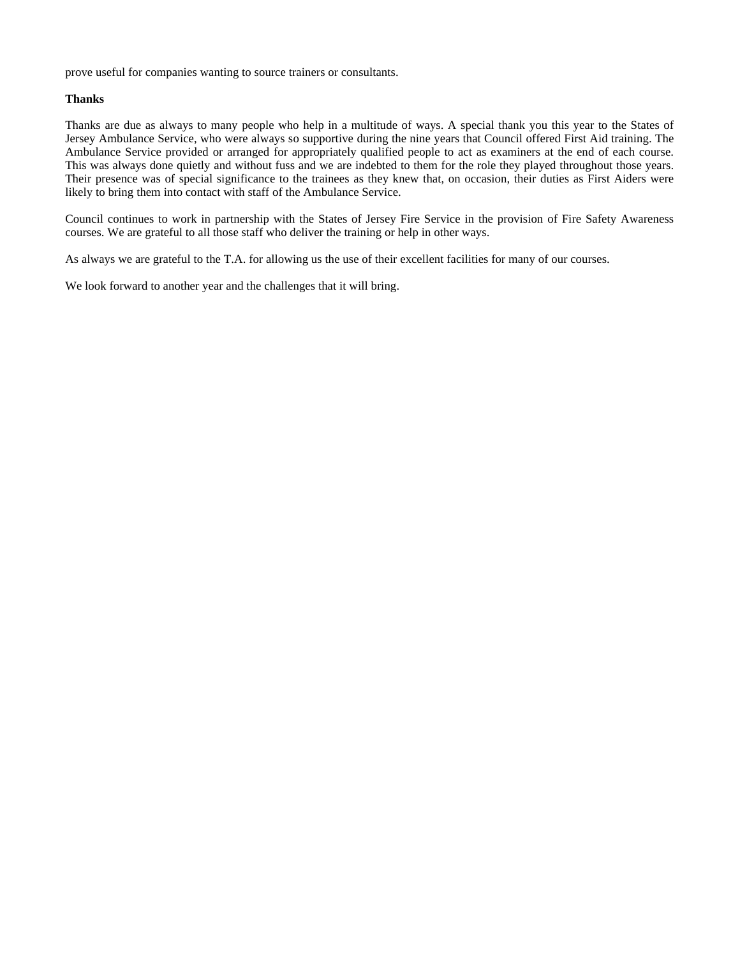prove useful for companies wanting to source trainers or consultants.

## **Thanks**

Thanks are due as always to many people who help in a multitude of ways. A special thank you this year to the States of Jersey Ambulance Service, who were always so supportive during the nine years that Council offered First Aid training. The Ambulance Service provided or arranged for appropriately qualified people to act as examiners at the end of each course. This was always done quietly and without fuss and we are indebted to them for the role they played throughout those years. Their presence was of special significance to the trainees as they knew that, on occasion, their duties as First Aiders were likely to bring them into contact with staff of the Ambulance Service.

Council continues to work in partnership with the States of Jersey Fire Service in the provision of Fire Safety Awareness courses. We are grateful to all those staff who deliver the training or help in other ways.

As always we are grateful to the T.A. for allowing us the use of their excellent facilities for many of our courses.

We look forward to another year and the challenges that it will bring.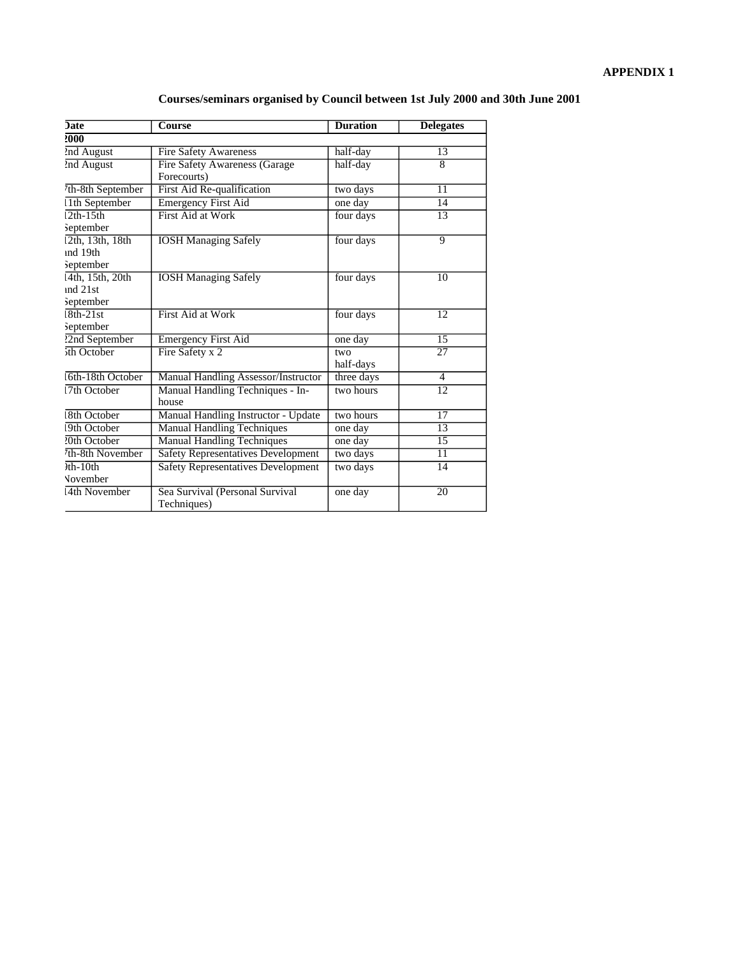|  | Courses/seminars organised by Council between 1st July 2000 and 30th June 2001 |  |  |
|--|--------------------------------------------------------------------------------|--|--|
|  |                                                                                |  |  |

| <b>Date</b>       | <b>Course</b>                             | <b>Duration</b> | <b>Delegates</b> |
|-------------------|-------------------------------------------|-----------------|------------------|
| 2000              |                                           |                 |                  |
| 2nd August        | <b>Fire Safety Awareness</b>              | half-day        | 13               |
| 2nd August        | <b>Fire Safety Awareness (Garage</b>      | half-day        | $\overline{8}$   |
|                   | Forecourts)                               |                 |                  |
| th-8th September  | First Aid Re-qualification                | two days        | $\overline{11}$  |
| 1th September     | <b>Emergency First Aid</b>                | one day         | 14               |
| $\sqrt{2th-15th}$ | <b>First Aid at Work</b>                  | four days       | 13               |
| September         |                                           |                 |                  |
| 12th, 13th, 18th  | <b>IOSH Managing Safely</b>               | four days       | 9                |
| ind 19th          |                                           |                 |                  |
| September         |                                           |                 |                  |
| 4th, 15th, 20th   | <b>IOSH Managing Safely</b>               | four days       | 10               |
| ind 21st          |                                           |                 |                  |
| September         |                                           |                 |                  |
| $8th-21st$        | First Aid at Work                         | four days       | 12               |
| <b>September</b>  |                                           |                 |                  |
| 22nd September    | <b>Emergency First Aid</b>                | one day         | 15               |
| ith October       | Fire Safety x 2                           | two             | $\overline{27}$  |
|                   |                                           | half-days       |                  |
| 6th-18th October  | Manual Handling Assessor/Instructor       | three days      | 4                |
| 7th October       | Manual Handling Techniques - In-          | two hours       | $\overline{12}$  |
|                   | house                                     |                 |                  |
| 8th October       | Manual Handling Instructor - Update       | two hours       | 17               |
| 9th October       | <b>Manual Handling Techniques</b>         | one day         | 13               |
| ?0th October      | <b>Manual Handling Techniques</b>         | one day         | 15               |
| th-8th November   | <b>Safety Representatives Development</b> | two days        | 11               |
| $h$ -10th         | <b>Safety Representatives Development</b> | two days        | 14               |
| <b>November</b>   |                                           |                 |                  |
| 4th November      | Sea Survival (Personal Survival           | one day         | $\overline{20}$  |
|                   | Techniques)                               |                 |                  |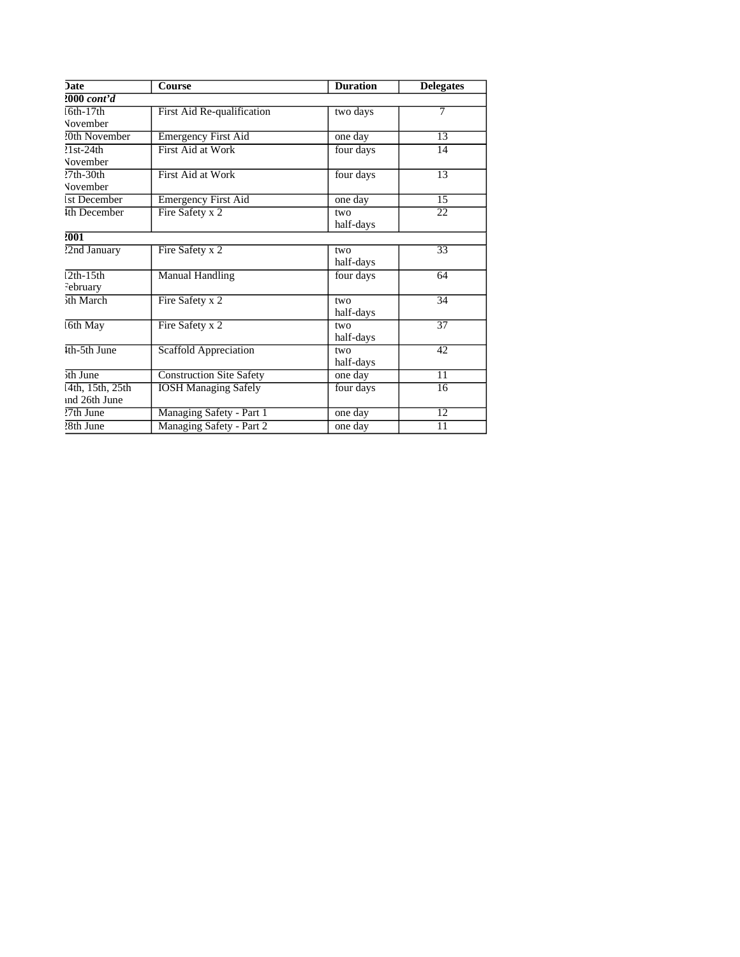| <b>Date</b>        | <b>Course</b>                   | <b>Duration</b> | <b>Delegates</b> |  |
|--------------------|---------------------------------|-----------------|------------------|--|
| $2000$ cont'd      |                                 |                 |                  |  |
| $6th-17th$         | First Aid Re-qualification      | two days        | 7                |  |
| November           |                                 |                 |                  |  |
| 20th November      | <b>Emergency First Aid</b>      | one day         | $\overline{13}$  |  |
| $\sqrt{21st-24th}$ | <b>First Aid at Work</b>        | four days       | 14               |  |
| <b>November</b>    |                                 |                 |                  |  |
| $27th-30th$        | First Aid at Work               | four days       | 13               |  |
| <b>November</b>    |                                 |                 |                  |  |
| 1st December       | <b>Emergency First Aid</b>      | one day         | $\overline{15}$  |  |
| 4th December       | Fire Safety x 2                 | two             | 22               |  |
|                    |                                 | half-days       |                  |  |
| 2001               |                                 |                 |                  |  |
| 22nd January       | Fire Safety x 2                 | two             | $\overline{33}$  |  |
|                    |                                 | half-days       |                  |  |
| $\sqrt{2th-15th}$  | Manual Handling                 | four days       | 64               |  |
| February           |                                 |                 |                  |  |
| 5th March          | Fire Safety x 2                 | two             | 34               |  |
|                    |                                 | half-days       |                  |  |
| 6th May            | Fire Safety x 2                 | two             | $\overline{37}$  |  |
|                    |                                 | half-days       |                  |  |
| Ith-5th June       | <b>Scaffold Appreciation</b>    | two             | 42               |  |
|                    |                                 | half-days       |                  |  |
| 5th June           | <b>Construction Site Safety</b> | one day         | 11               |  |
| 4th, 15th, 25th    | <b>IOSH Managing Safely</b>     | four days       | 16               |  |
| ind 26th June      |                                 |                 |                  |  |
| $27th$ June        | Managing Safety - Part 1        | one day         | $\overline{12}$  |  |
| 28th June          | Managing Safety - Part 2        | one day         | 11               |  |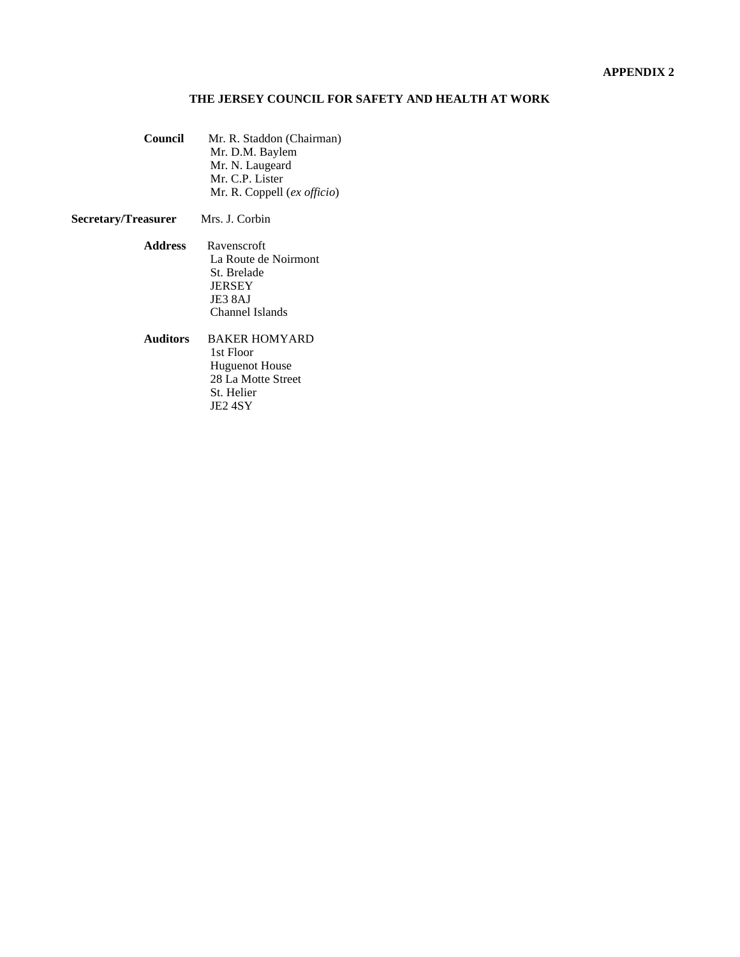## **THE JERSEY COUNCIL FOR SAFETY AND HEALTH AT WORK**

**Council** Mr. R. Staddon (Chairman) Mr. D.M. Baylem Mr. N. Laugeard Mr. C.P. Lister Mr. R. Coppell (*ex officio*)

## **Secretary/Treasurer** Mrs. J. Corbin

- **Address** Ravenscroft La Route de Noirmont St. Brelade JERSEY JE3 8AJ Channel Islands
- **Auditors** BAKER HOMYARD 1st Floor Huguenot House 28 La Motte Street St. Helier JE2 4SY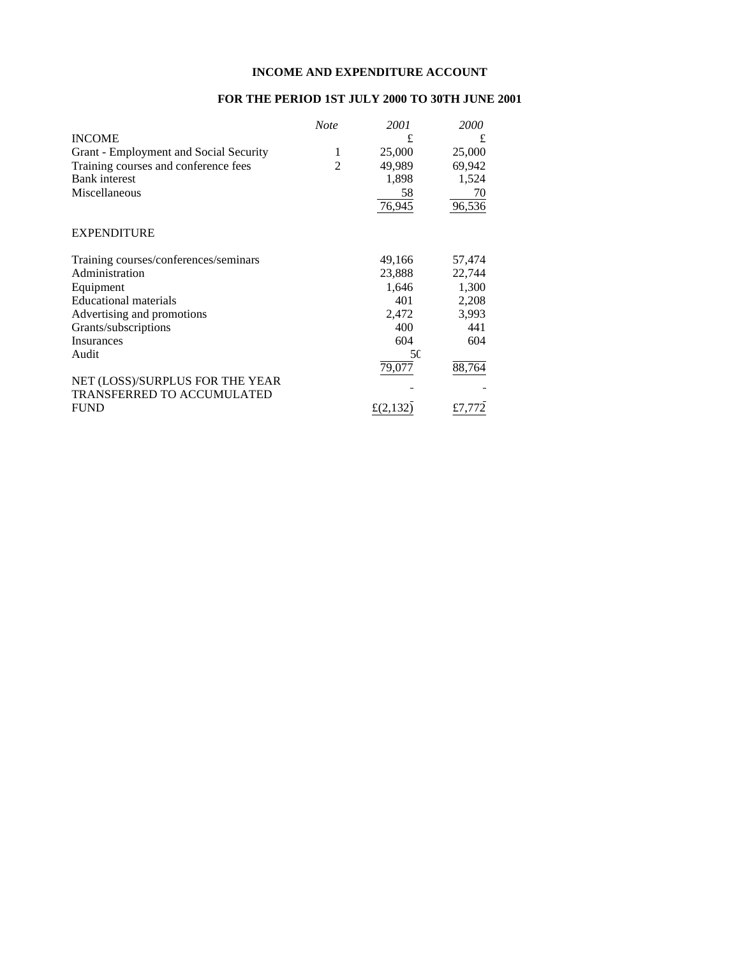## **INCOME AND EXPENDITURE ACCOUNT**

## **FOR THE PERIOD 1ST JULY 2000 TO 30TH JUNE 2001**

|                                        | <b>Note</b> | 2001     | 2000   |
|----------------------------------------|-------------|----------|--------|
| <b>INCOME</b>                          |             | £        | £      |
| Grant - Employment and Social Security | 1           | 25,000   | 25,000 |
| Training courses and conference fees   | 2           | 49,989   | 69,942 |
| <b>Bank</b> interest                   |             | 1,898    | 1,524  |
| Miscellaneous                          |             | 58       | 70     |
|                                        |             | 76,945   | 96,536 |
| <b>EXPENDITURE</b>                     |             |          |        |
| Training courses/conferences/seminars  |             | 49,166   | 57,474 |
| Administration                         |             | 23,888   | 22,744 |
| Equipment                              |             | 1,646    | 1,300  |
| <b>Educational materials</b>           |             | 401      | 2,208  |
| Advertising and promotions             |             | 2,472    | 3,993  |
| Grants/subscriptions                   |             | 400      | 441    |
| Insurances                             |             | 604      | 604    |
| Audit                                  |             | 50       |        |
|                                        |             | 79,077   | 88,764 |
| NET (LOSS)/SURPLUS FOR THE YEAR        |             |          |        |
| <b>TRANSFERRED TO ACCUMULATED</b>      |             |          |        |
| <b>FUND</b>                            |             | £(2,132) | £7.772 |